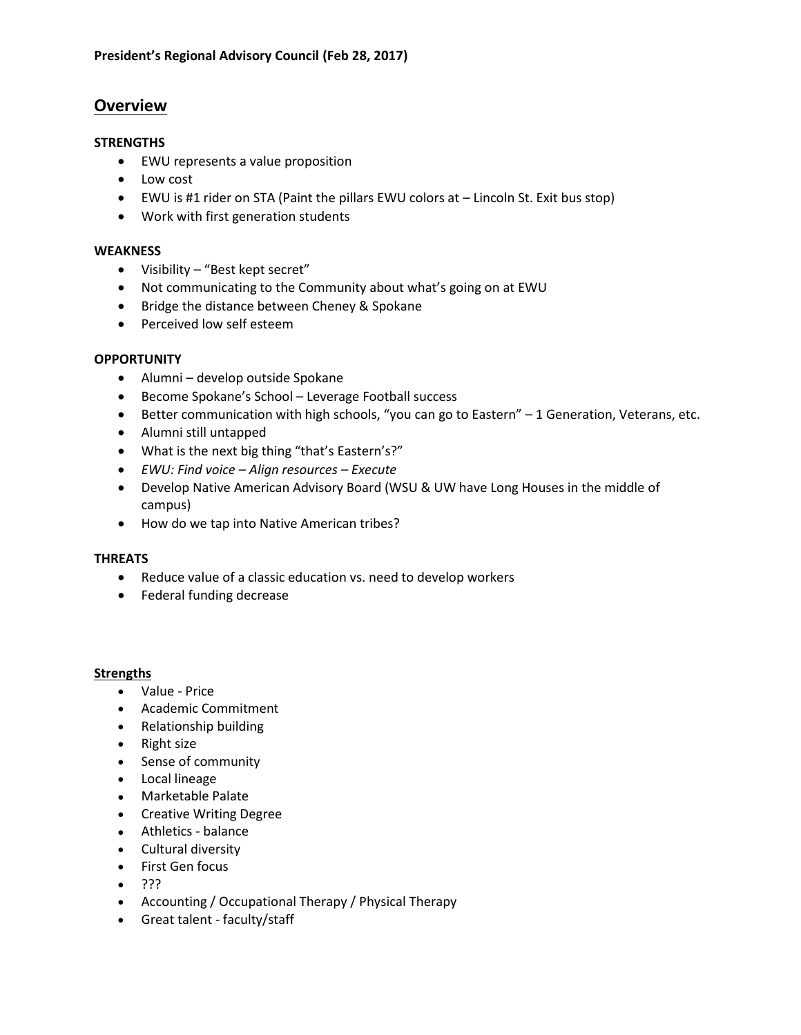# **Overview**

# **STRENGTHS**

- EWU represents a value proposition
- Low cost
- EWU is #1 rider on STA (Paint the pillars EWU colors at Lincoln St. Exit bus stop)
- Work with first generation students

# **WEAKNESS**

- Visibility "Best kept secret"
- Not communicating to the Community about what's going on at EWU
- Bridge the distance between Cheney & Spokane
- Perceived low self esteem

# **OPPORTUNITY**

- Alumni develop outside Spokane
- Become Spokane's School Leverage Football success
- Better communication with high schools, "you can go to Eastern" 1 Generation, Veterans, etc.
- Alumni still untapped
- What is the next big thing "that's Eastern's?"
- *EWU: Find voice – Align resources – Execute*
- Develop Native American Advisory Board (WSU & UW have Long Houses in the middle of campus)
- How do we tap into Native American tribes?

# **THREATS**

- Reduce value of a classic education vs. need to develop workers
- Federal funding decrease

#### **Strengths**

- Value Price
- Academic Commitment
- Relationship building
- Right size
- Sense of community
- Local lineage
- Marketable Palate
- Creative Writing Degree
- Athletics balance
- Cultural diversity
- First Gen focus
- $\bullet$  ???
- Accounting / Occupational Therapy / Physical Therapy
- Great talent faculty/staff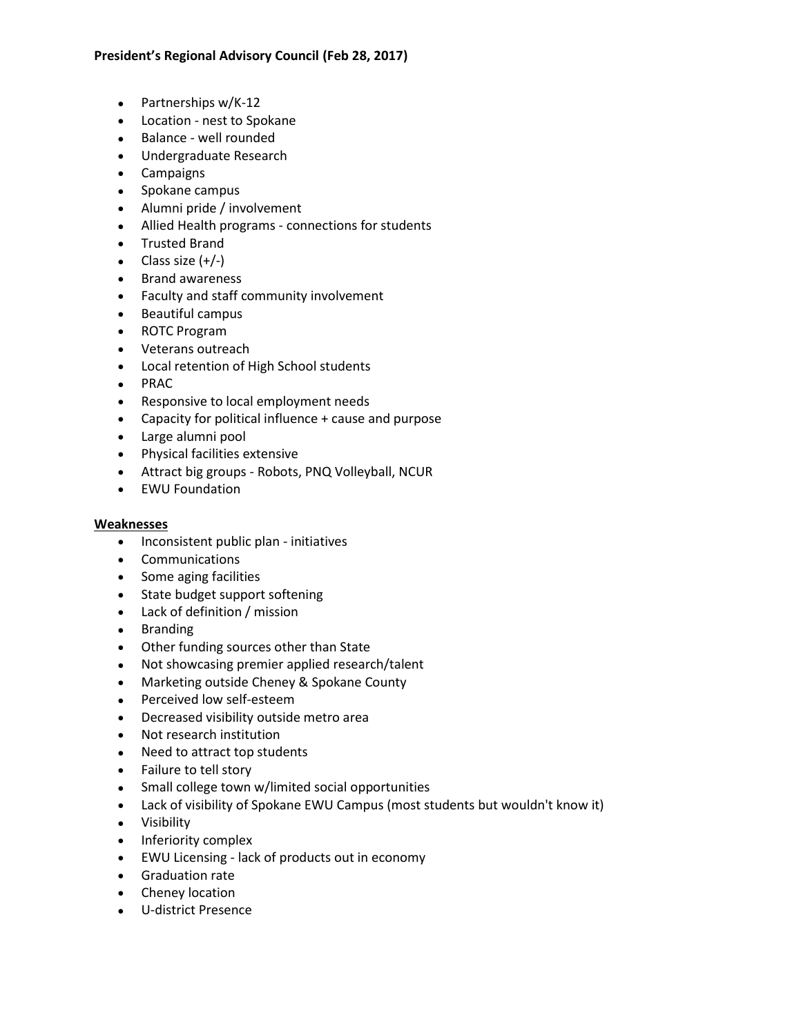- Partnerships w/K-12
- Location nest to Spokane
- Balance well rounded
- Undergraduate Research
- Campaigns
- Spokane campus
- Alumni pride / involvement
- Allied Health programs connections for students
- Trusted Brand
- $\bullet$  Class size  $(+/-)$
- Brand awareness
- Faculty and staff community involvement
- Beautiful campus
- ROTC Program
- Veterans outreach
- Local retention of High School students
- PRAC
- Responsive to local employment needs
- Capacity for political influence + cause and purpose
- Large alumni pool
- Physical facilities extensive
- Attract big groups Robots, PNQ Volleyball, NCUR
- EWU Foundation

# **Weaknesses**

- Inconsistent public plan initiatives
- Communications
- Some aging facilities
- State budget support softening
- Lack of definition / mission
- Branding
- Other funding sources other than State
- Not showcasing premier applied research/talent
- Marketing outside Cheney & Spokane County
- Perceived low self-esteem
- Decreased visibility outside metro area
- Not research institution
- Need to attract top students
- Failure to tell story
- Small college town w/limited social opportunities
- Lack of visibility of Spokane EWU Campus (most students but wouldn't know it)
- Visibility
- Inferiority complex
- EWU Licensing lack of products out in economy
- Graduation rate
- Cheney location
- U-district Presence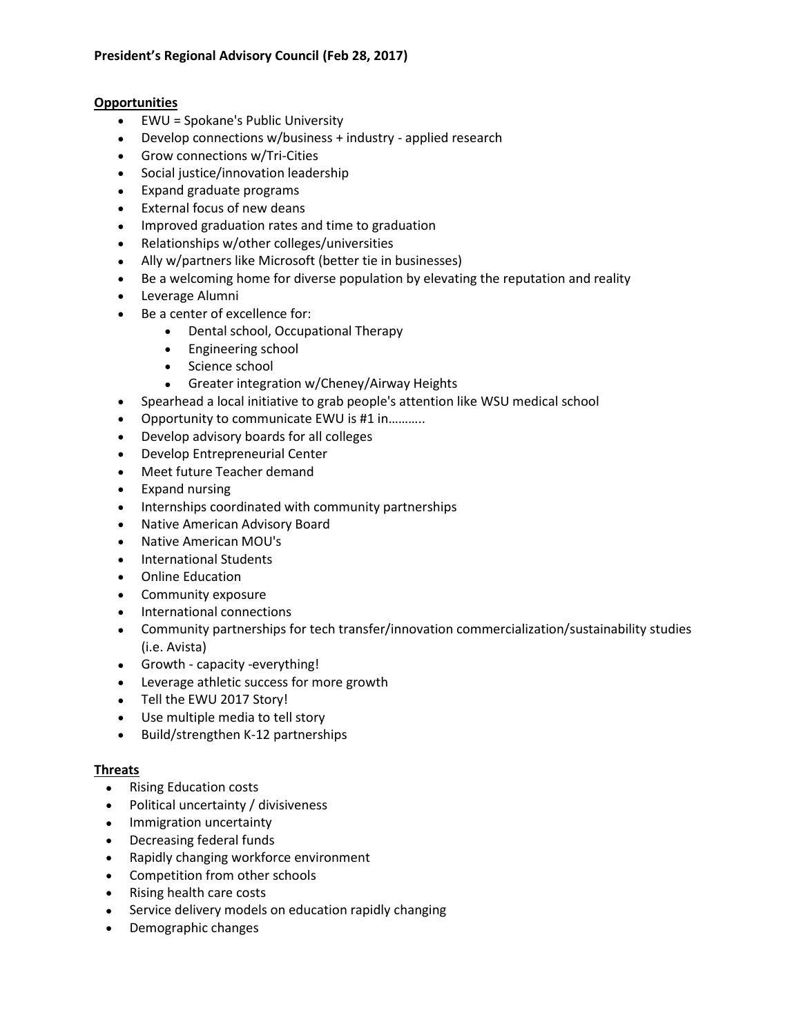# **Opportunities**

- EWU = Spokane's Public University
- Develop connections w/business + industry applied research
- Grow connections w/Tri-Cities
- Social justice/innovation leadership
- Expand graduate programs
- External focus of new deans
- Improved graduation rates and time to graduation
- Relationships w/other colleges/universities
- Ally w/partners like Microsoft (better tie in businesses)
- Be a welcoming home for diverse population by elevating the reputation and reality
- Leverage Alumni
- Be a center of excellence for:
	- Dental school, Occupational Therapy
	- Engineering school
	- Science school
	- Greater integration w/Cheney/Airway Heights
- Spearhead a local initiative to grab people's attention like WSU medical school
- Opportunity to communicate EWU is #1 in………..
- Develop advisory boards for all colleges
- Develop Entrepreneurial Center
- Meet future Teacher demand
- Expand nursing
- Internships coordinated with community partnerships
- Native American Advisory Board
- Native American MOU's
- International Students
- Online Education
- Community exposure
- International connections
- Community partnerships for tech transfer/innovation commercialization/sustainability studies (i.e. Avista)
- Growth capacity -everything!
- Leverage athletic success for more growth
- Tell the EWU 2017 Story!
- Use multiple media to tell story
- Build/strengthen K-12 partnerships

# **Threats**

- Rising Education costs
- Political uncertainty / divisiveness
- Immigration uncertainty
- Decreasing federal funds
- Rapidly changing workforce environment
- Competition from other schools
- Rising health care costs
- Service delivery models on education rapidly changing
- Demographic changes